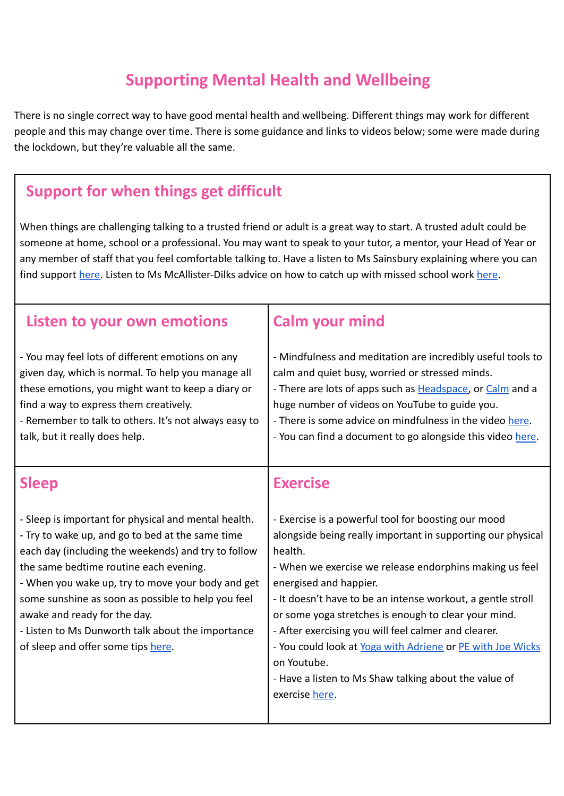## **Supporting Mental Health and Wellbeing**

There is no single correct way to have good mental health and wellbeing. Different things may work for different people and this may change over time. There is some guidance and links to videos below; some were made during the lockdown, but they're valuable all the same.

## **Support for when things get difficult**

When things are challenging talking to a trusted friend or adult is a great way to start. A trusted adult could be someone at home, school or a professional. You may want to speak to your tutor, a mentor, your Head of Year or any member of staff that you feel comfortable talking to. Have a listen to Ms Sainsbury explaining where you can find support [here.](https://drive.google.com/file/d/10hDzdIFV2VsMNmO24rxeIHGh_hqVelq5/view?usp=sharing) Listen to Ms McAllister-Dilks advice on how to catch up with missed school work [here](https://drive.google.com/file/d/1mZWKE9wPkfJr5drERV6_oplQlnidzRXh/view?usp=sharing).

| Listen to your own emotions                                                                                                                                                                                                                                                                                                                                                                                                                     | <b>Calm your mind</b>                                                                                                                                                                                                                                                                                                                                                                                                                                                                                                                                     |
|-------------------------------------------------------------------------------------------------------------------------------------------------------------------------------------------------------------------------------------------------------------------------------------------------------------------------------------------------------------------------------------------------------------------------------------------------|-----------------------------------------------------------------------------------------------------------------------------------------------------------------------------------------------------------------------------------------------------------------------------------------------------------------------------------------------------------------------------------------------------------------------------------------------------------------------------------------------------------------------------------------------------------|
| - You may feel lots of different emotions on any<br>given day, which is normal. To help you manage all<br>these emotions, you might want to keep a diary or<br>find a way to express them creatively.<br>- Remember to talk to others. It's not always easy to<br>talk, but it really does help.                                                                                                                                                | - Mindfulness and meditation are incredibly useful tools to<br>calm and quiet busy, worried or stressed minds.<br>- There are lots of apps such as Headspace, or Calm and a<br>huge number of videos on YouTube to guide you.<br>- There is some advice on mindfulness in the video here.<br>- You can find a document to go alongside this video here.                                                                                                                                                                                                   |
| <b>Sleep</b>                                                                                                                                                                                                                                                                                                                                                                                                                                    | <b>Exercise</b>                                                                                                                                                                                                                                                                                                                                                                                                                                                                                                                                           |
| - Sleep is important for physical and mental health.<br>- Try to wake up, and go to bed at the same time<br>each day (including the weekends) and try to follow<br>the same bedtime routine each evening.<br>- When you wake up, try to move your body and get<br>some sunshine as soon as possible to help you feel<br>awake and ready for the day.<br>- Listen to Ms Dunworth talk about the importance<br>of sleep and offer some tips here. | - Exercise is a powerful tool for boosting our mood<br>alongside being really important in supporting our physical<br>health.<br>- When we exercise we release endorphins making us feel<br>energised and happier.<br>- It doesn't have to be an intense workout, a gentle stroll<br>or some yoga stretches is enough to clear your mind.<br>- After exercising you will feel calmer and clearer.<br>- You could look at Yoga with Adriene or PE with Joe Wicks<br>on Youtube.<br>- Have a listen to Ms Shaw talking about the value of<br>exercise here. |